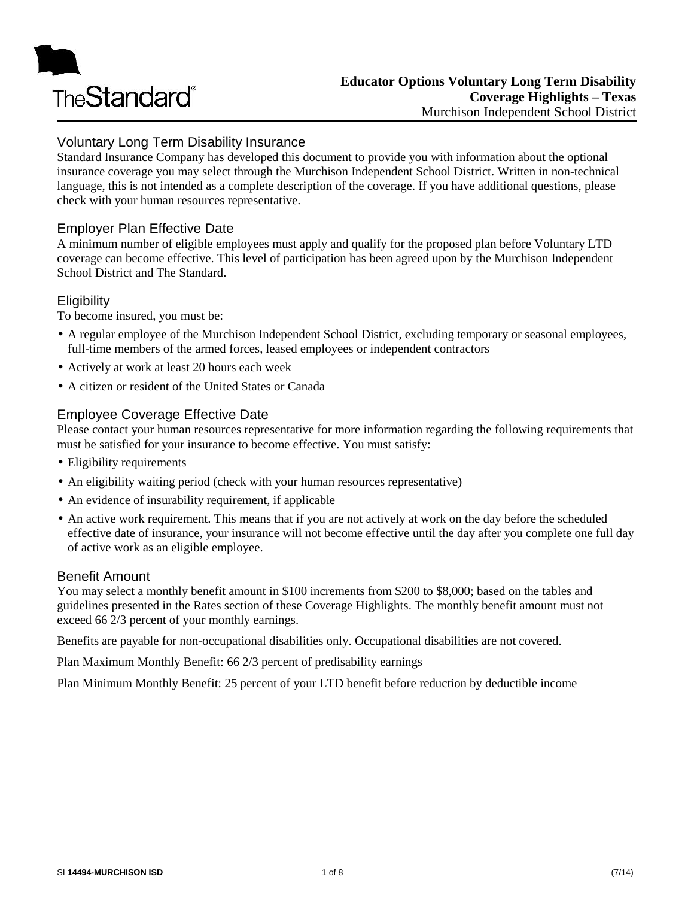

## Voluntary Long Term Disability Insurance

Standard Insurance Company has developed this document to provide you with information about the optional insurance coverage you may select through the Murchison Independent School District. Written in non-technical language, this is not intended as a complete description of the coverage. If you have additional questions, please check with your human resources representative.

## Employer Plan Effective Date

A minimum number of eligible employees must apply and qualify for the proposed plan before Voluntary LTD coverage can become effective. This level of participation has been agreed upon by the Murchison Independent School District and The Standard.

## **Eligibility**

To become insured, you must be:

- A regular employee of the Murchison Independent School District, excluding temporary or seasonal employees, full-time members of the armed forces, leased employees or independent contractors
- Actively at work at least 20 hours each week
- A citizen or resident of the United States or Canada

## Employee Coverage Effective Date

Please contact your human resources representative for more information regarding the following requirements that must be satisfied for your insurance to become effective. You must satisfy:

- Eligibility requirements
- An eligibility waiting period (check with your human resources representative)
- An evidence of insurability requirement, if applicable
- An active work requirement. This means that if you are not actively at work on the day before the scheduled effective date of insurance, your insurance will not become effective until the day after you complete one full day of active work as an eligible employee.

#### Benefit Amount

You may select a monthly benefit amount in \$100 increments from \$200 to \$8,000; based on the tables and guidelines presented in the Rates section of these Coverage Highlights. The monthly benefit amount must not exceed 66 2/3 percent of your monthly earnings.

Benefits are payable for non-occupational disabilities only. Occupational disabilities are not covered.

Plan Maximum Monthly Benefit: 66 2/3 percent of predisability earnings

Plan Minimum Monthly Benefit: 25 percent of your LTD benefit before reduction by deductible income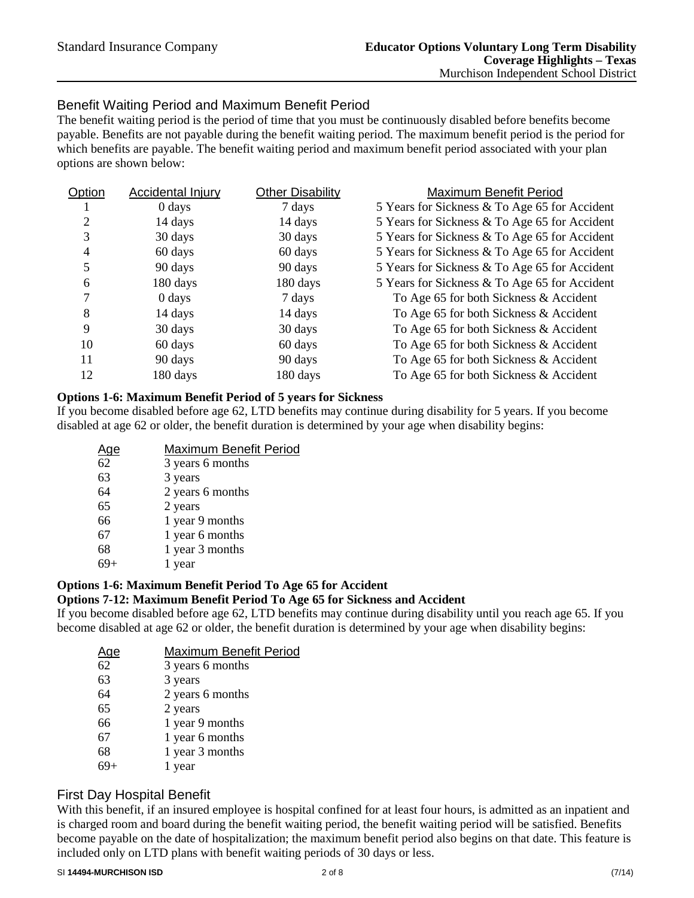## Benefit Waiting Period and Maximum Benefit Period

The benefit waiting period is the period of time that you must be continuously disabled before benefits become payable. Benefits are not payable during the benefit waiting period. The maximum benefit period is the period for which benefits are payable. The benefit waiting period and maximum benefit period associated with your plan options are shown below:

| Accidental Injury  | <b>Other Disability</b> | Maximum Benefit Period                        |
|--------------------|-------------------------|-----------------------------------------------|
| $0 \, \text{days}$ | 7 days                  | 5 Years for Sickness & To Age 65 for Accident |
| 14 days            | 14 days                 | 5 Years for Sickness & To Age 65 for Accident |
| 30 days            | 30 days                 | 5 Years for Sickness & To Age 65 for Accident |
| 60 days            | 60 days                 | 5 Years for Sickness & To Age 65 for Accident |
| 90 days            | 90 days                 | 5 Years for Sickness & To Age 65 for Accident |
| 180 days           | 180 days                | 5 Years for Sickness & To Age 65 for Accident |
| $0 \, \text{days}$ | 7 days                  | To Age 65 for both Sickness & Accident        |
| 14 days            | 14 days                 | To Age 65 for both Sickness & Accident        |
| 30 days            | 30 days                 | To Age 65 for both Sickness & Accident        |
| 60 days            | 60 days                 | To Age 65 for both Sickness & Accident        |
| 90 days            | 90 days                 | To Age 65 for both Sickness & Accident        |
| 180 days           | 180 days                | To Age 65 for both Sickness & Accident        |
|                    |                         |                                               |

#### **Options 1-6: Maximum Benefit Period of 5 years for Sickness**

If you become disabled before age 62, LTD benefits may continue during disability for 5 years. If you become disabled at age 62 or older, the benefit duration is determined by your age when disability begins:

| <u>Age</u> | Maximum Benefit Period |
|------------|------------------------|
| 62         | 3 years 6 months       |
| 63         | 3 years                |
| 64         | 2 years 6 months       |
| 65         | 2 years                |
| 66         | 1 year 9 months        |
| 67         | 1 year 6 months        |
| 68         | 1 year 3 months        |
|            | 1 year                 |
|            |                        |

#### **Options 1-6: Maximum Benefit Period To Age 65 for Accident**

## **Options 7-12: Maximum Benefit Period To Age 65 for Sickness and Accident**

If you become disabled before age 62, LTD benefits may continue during disability until you reach age 65. If you become disabled at age 62 or older, the benefit duration is determined by your age when disability begins:

| <u>Age</u> | <b>Maximum Benefit Period</b> |
|------------|-------------------------------|
| 62         | 3 years 6 months              |
| 63         | 3 years                       |
| 64         | 2 years 6 months              |
| 65         | 2 years                       |
| 66         | 1 year 9 months               |
| 67         | 1 year 6 months               |
| 68         | 1 year 3 months               |
|            | 1 year                        |
|            |                               |

#### First Day Hospital Benefit

With this benefit, if an insured employee is hospital confined for at least four hours, is admitted as an inpatient and is charged room and board during the benefit waiting period, the benefit waiting period will be satisfied. Benefits become payable on the date of hospitalization; the maximum benefit period also begins on that date. This feature is included only on LTD plans with benefit waiting periods of 30 days or less.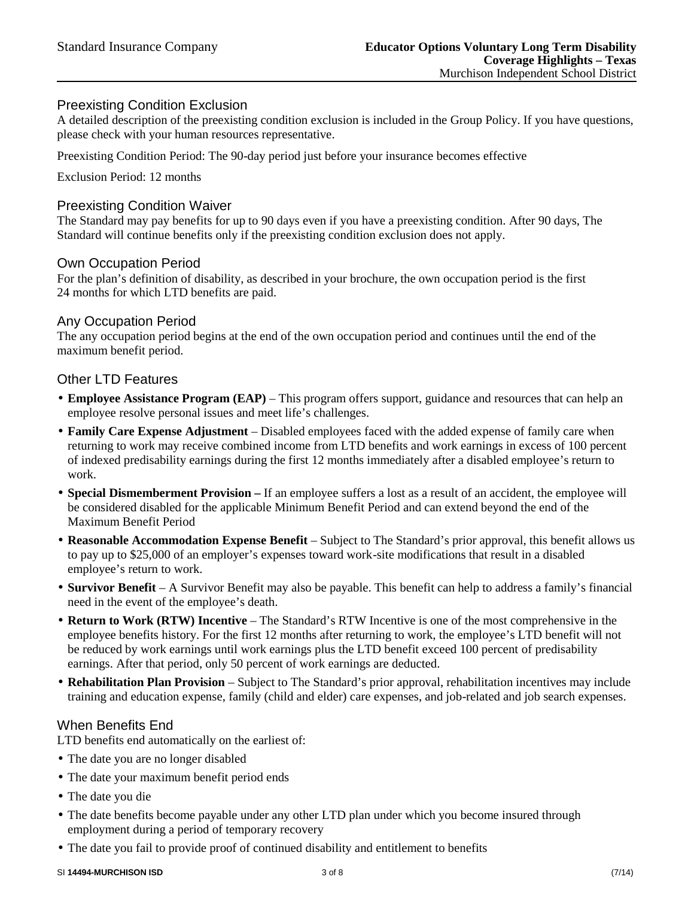## Preexisting Condition Exclusion

A detailed description of the preexisting condition exclusion is included in the Group Policy. If you have questions, please check with your human resources representative.

Preexisting Condition Period: The 90-day period just before your insurance becomes effective

Exclusion Period: 12 months

#### Preexisting Condition Waiver

The Standard may pay benefits for up to 90 days even if you have a preexisting condition. After 90 days, The Standard will continue benefits only if the preexisting condition exclusion does not apply.

#### Own Occupation Period

For the plan's definition of disability, as described in your brochure, the own occupation period is the first 24 months for which LTD benefits are paid.

## Any Occupation Period

The any occupation period begins at the end of the own occupation period and continues until the end of the maximum benefit period.

#### Other LTD Features

- **Employee Assistance Program (EAP)** This program offers support, guidance and resources that can help an employee resolve personal issues and meet life's challenges.
- **Family Care Expense Adjustment** Disabled employees faced with the added expense of family care when returning to work may receive combined income from LTD benefits and work earnings in excess of 100 percent of indexed predisability earnings during the first 12 months immediately after a disabled employee's return to work.
- **Special Dismemberment Provision –** If an employee suffers a lost as a result of an accident, the employee will be considered disabled for the applicable Minimum Benefit Period and can extend beyond the end of the Maximum Benefit Period
- **Reasonable Accommodation Expense Benefit** Subject to The Standard's prior approval, this benefit allows us to pay up to \$25,000 of an employer's expenses toward work-site modifications that result in a disabled employee's return to work.
- **Survivor Benefit** A Survivor Benefit may also be payable. This benefit can help to address a family's financial need in the event of the employee's death.
- **Return to Work (RTW) Incentive** The Standard's RTW Incentive is one of the most comprehensive in the employee benefits history. For the first 12 months after returning to work, the employee's LTD benefit will not be reduced by work earnings until work earnings plus the LTD benefit exceed 100 percent of predisability earnings. After that period, only 50 percent of work earnings are deducted.
- **Rehabilitation Plan Provision** Subject to The Standard's prior approval, rehabilitation incentives may include training and education expense, family (child and elder) care expenses, and job-related and job search expenses.

#### When Benefits End

LTD benefits end automatically on the earliest of:

- The date you are no longer disabled
- The date your maximum benefit period ends
- The date you die
- The date benefits become payable under any other LTD plan under which you become insured through employment during a period of temporary recovery
- The date you fail to provide proof of continued disability and entitlement to benefits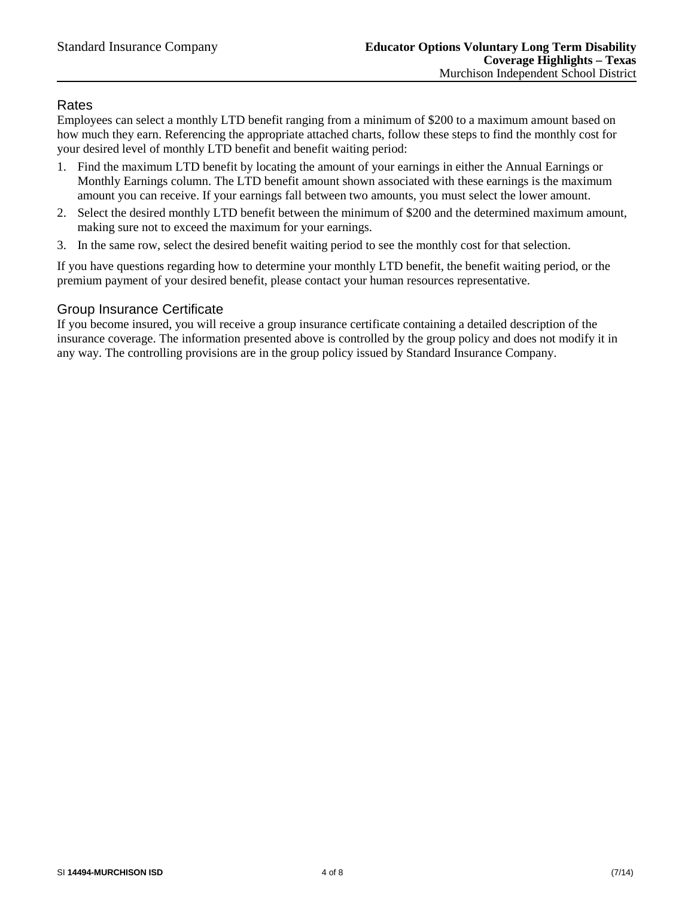## Rates

Employees can select a monthly LTD benefit ranging from a minimum of \$200 to a maximum amount based on how much they earn. Referencing the appropriate attached charts, follow these steps to find the monthly cost for your desired level of monthly LTD benefit and benefit waiting period:

- 1. Find the maximum LTD benefit by locating the amount of your earnings in either the Annual Earnings or Monthly Earnings column. The LTD benefit amount shown associated with these earnings is the maximum amount you can receive. If your earnings fall between two amounts, you must select the lower amount.
- 2. Select the desired monthly LTD benefit between the minimum of \$200 and the determined maximum amount, making sure not to exceed the maximum for your earnings.
- 3. In the same row, select the desired benefit waiting period to see the monthly cost for that selection.

If you have questions regarding how to determine your monthly LTD benefit, the benefit waiting period, or the premium payment of your desired benefit, please contact your human resources representative.

## Group Insurance Certificate

If you become insured, you will receive a group insurance certificate containing a detailed description of the insurance coverage. The information presented above is controlled by the group policy and does not modify it in any way. The controlling provisions are in the group policy issued by Standard Insurance Company.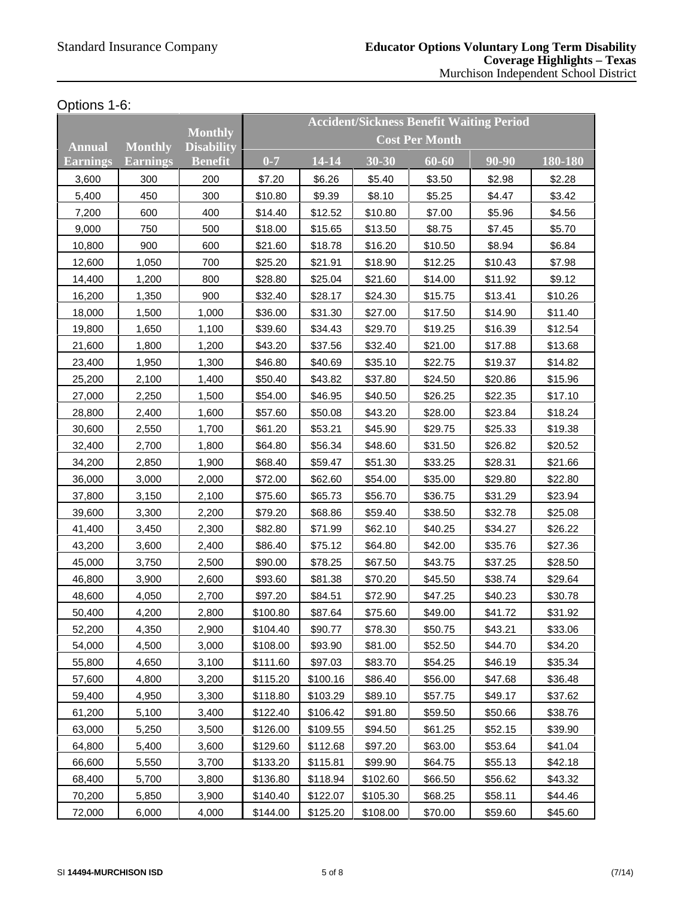## Options 1-6:

|               |                 |                                     |                       |           |           | <b>Accident/Sickness Benefit Waiting Period</b> |         |         |  |
|---------------|-----------------|-------------------------------------|-----------------------|-----------|-----------|-------------------------------------------------|---------|---------|--|
| <b>Annual</b> | <b>Monthly</b>  | <b>Monthly</b><br><b>Disability</b> | <b>Cost Per Month</b> |           |           |                                                 |         |         |  |
| Earnings      | <b>Earnings</b> | <b>Benefit</b>                      | $0 - 7$               | $14 - 14$ | $30 - 30$ | 60-60                                           | 90-90   | 180-180 |  |
| 3,600         | 300             | 200                                 | \$7.20                | \$6.26    | \$5.40    | \$3.50                                          | \$2.98  | \$2.28  |  |
| 5,400         | 450             | 300                                 | \$10.80               | \$9.39    | \$8.10    | \$5.25                                          | \$4.47  | \$3.42  |  |
| 7,200         | 600             | 400                                 | \$14.40               | \$12.52   | \$10.80   | \$7.00                                          | \$5.96  | \$4.56  |  |
| 9,000         | 750             | 500                                 | \$18.00               | \$15.65   | \$13.50   | \$8.75                                          | \$7.45  | \$5.70  |  |
| 10,800        | 900             | 600                                 | \$21.60               | \$18.78   | \$16.20   | \$10.50                                         | \$8.94  | \$6.84  |  |
| 12,600        | 1,050           | 700                                 | \$25.20               | \$21.91   | \$18.90   | \$12.25                                         | \$10.43 | \$7.98  |  |
| 14,400        | 1,200           | 800                                 | \$28.80               | \$25.04   | \$21.60   | \$14.00                                         | \$11.92 | \$9.12  |  |
| 16,200        | 1,350           | 900                                 | \$32.40               | \$28.17   | \$24.30   | \$15.75                                         | \$13.41 | \$10.26 |  |
| 18,000        | 1,500           | 1,000                               | \$36.00               | \$31.30   | \$27.00   | \$17.50                                         | \$14.90 | \$11.40 |  |
| 19,800        | 1,650           | 1,100                               | \$39.60               | \$34.43   | \$29.70   | \$19.25                                         | \$16.39 | \$12.54 |  |
| 21,600        | 1,800           | 1,200                               | \$43.20               | \$37.56   | \$32.40   | \$21.00                                         | \$17.88 | \$13.68 |  |
| 23,400        | 1,950           | 1,300                               | \$46.80               | \$40.69   | \$35.10   | \$22.75                                         | \$19.37 | \$14.82 |  |
| 25,200        | 2,100           | 1,400                               | \$50.40               | \$43.82   | \$37.80   | \$24.50                                         | \$20.86 | \$15.96 |  |
| 27,000        | 2,250           | 1,500                               | \$54.00               | \$46.95   | \$40.50   | \$26.25                                         | \$22.35 | \$17.10 |  |
| 28,800        | 2,400           | 1,600                               | \$57.60               | \$50.08   | \$43.20   | \$28.00                                         | \$23.84 | \$18.24 |  |
| 30,600        | 2,550           | 1,700                               | \$61.20               | \$53.21   | \$45.90   | \$29.75                                         | \$25.33 | \$19.38 |  |
| 32,400        | 2,700           | 1,800                               | \$64.80               | \$56.34   | \$48.60   | \$31.50                                         | \$26.82 | \$20.52 |  |
| 34,200        | 2,850           | 1,900                               | \$68.40               | \$59.47   | \$51.30   | \$33.25                                         | \$28.31 | \$21.66 |  |
| 36,000        | 3,000           | 2,000                               | \$72.00               | \$62.60   | \$54.00   | \$35.00                                         | \$29.80 | \$22.80 |  |
| 37,800        | 3,150           | 2,100                               | \$75.60               | \$65.73   | \$56.70   | \$36.75                                         | \$31.29 | \$23.94 |  |
| 39,600        | 3,300           | 2,200                               | \$79.20               | \$68.86   | \$59.40   | \$38.50                                         | \$32.78 | \$25.08 |  |
| 41,400        | 3,450           | 2,300                               | \$82.80               | \$71.99   | \$62.10   | \$40.25                                         | \$34.27 | \$26.22 |  |
| 43,200        | 3,600           | 2,400                               | \$86.40               | \$75.12   | \$64.80   | \$42.00                                         | \$35.76 | \$27.36 |  |
| 45,000        | 3,750           | 2,500                               | \$90.00               | \$78.25   | \$67.50   | \$43.75                                         | \$37.25 | \$28.50 |  |
| 46,800        | 3,900           | 2,600                               | \$93.60               | \$81.38   | \$70.20   | \$45.50                                         | \$38.74 | \$29.64 |  |
| 48,600        | 4,050           | 2,700                               | \$97.20               | \$84.51   | \$72.90   | \$47.25                                         | \$40.23 | \$30.78 |  |
| 50,400        | 4,200           | 2,800                               | \$100.80              | \$87.64   | \$75.60   | \$49.00                                         | \$41.72 | \$31.92 |  |
| 52,200        | 4,350           | 2,900                               | \$104.40              | \$90.77   | \$78.30   | \$50.75                                         | \$43.21 | \$33.06 |  |
| 54,000        | 4,500           | 3,000                               | \$108.00              | \$93.90   | \$81.00   | \$52.50                                         | \$44.70 | \$34.20 |  |
| 55,800        | 4,650           | 3,100                               | \$111.60              | \$97.03   | \$83.70   | \$54.25                                         | \$46.19 | \$35.34 |  |
| 57,600        | 4,800           | 3,200                               | \$115.20              | \$100.16  | \$86.40   | \$56.00                                         | \$47.68 | \$36.48 |  |
| 59,400        | 4,950           | 3,300                               | \$118.80              | \$103.29  | \$89.10   | \$57.75                                         | \$49.17 | \$37.62 |  |
| 61,200        | 5,100           | 3,400                               | \$122.40              | \$106.42  | \$91.80   | \$59.50                                         | \$50.66 | \$38.76 |  |
| 63,000        | 5,250           | 3,500                               | \$126.00              | \$109.55  | \$94.50   | \$61.25                                         | \$52.15 | \$39.90 |  |
| 64,800        | 5,400           | 3,600                               | \$129.60              | \$112.68  | \$97.20   | \$63.00                                         | \$53.64 | \$41.04 |  |
| 66,600        | 5,550           | 3,700                               | \$133.20              | \$115.81  | \$99.90   | \$64.75                                         | \$55.13 | \$42.18 |  |
| 68,400        | 5,700           | 3,800                               | \$136.80              | \$118.94  | \$102.60  | \$66.50                                         | \$56.62 | \$43.32 |  |
| 70,200        | 5,850           | 3,900                               | \$140.40              | \$122.07  | \$105.30  | \$68.25                                         | \$58.11 | \$44.46 |  |
| 72,000        | 6,000           | 4,000                               | \$144.00              | \$125.20  | \$108.00  | \$70.00                                         | \$59.60 | \$45.60 |  |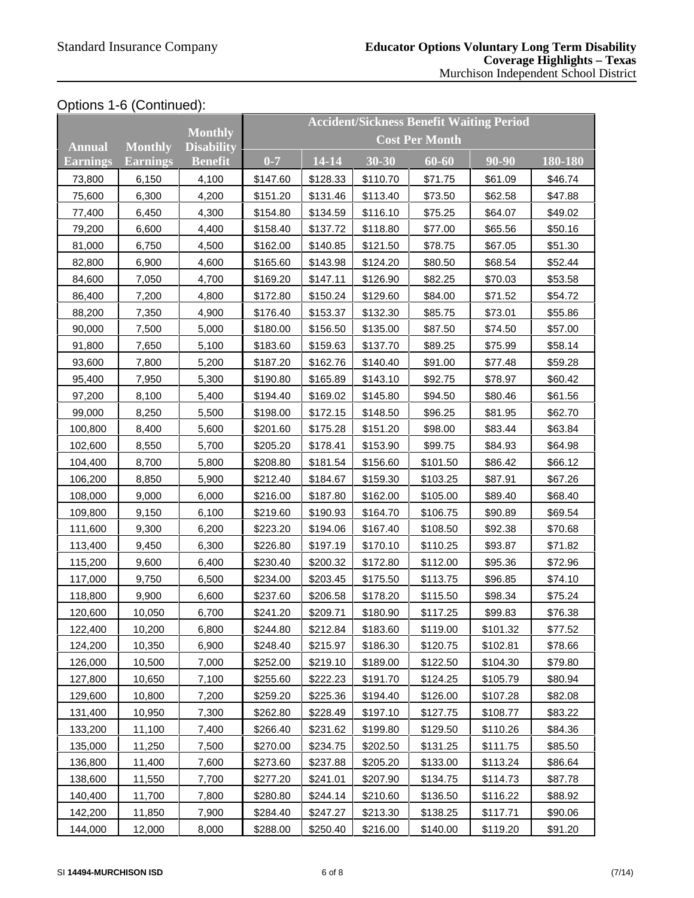# Options 1-6 (Continued):

|               |                 |                                     |                       |           |          | <b>Accident/Sickness Benefit Waiting Period</b> |          |         |  |
|---------------|-----------------|-------------------------------------|-----------------------|-----------|----------|-------------------------------------------------|----------|---------|--|
| <b>Annual</b> | <b>Monthly</b>  | <b>Monthly</b><br><b>Disability</b> | <b>Cost Per Month</b> |           |          |                                                 |          |         |  |
| Earnings      | <b>Earnings</b> | <b>Benefit</b>                      | $0 - 7$               | $14 - 14$ | 30-30    | 60-60                                           | 90-90    | 180-180 |  |
| 73,800        | 6,150           | 4,100                               | \$147.60              | \$128.33  | \$110.70 | \$71.75                                         | \$61.09  | \$46.74 |  |
| 75,600        | 6,300           | 4,200                               | \$151.20              | \$131.46  | \$113.40 | \$73.50                                         | \$62.58  | \$47.88 |  |
| 77,400        | 6,450           | 4,300                               | \$154.80              | \$134.59  | \$116.10 | \$75.25                                         | \$64.07  | \$49.02 |  |
| 79,200        | 6,600           | 4,400                               | \$158.40              | \$137.72  | \$118.80 | \$77.00                                         | \$65.56  | \$50.16 |  |
| 81,000        | 6,750           | 4,500                               | \$162.00              | \$140.85  | \$121.50 | \$78.75                                         | \$67.05  | \$51.30 |  |
| 82,800        | 6,900           | 4,600                               | \$165.60              | \$143.98  | \$124.20 | \$80.50                                         | \$68.54  | \$52.44 |  |
| 84,600        | 7,050           | 4,700                               | \$169.20              | \$147.11  | \$126.90 | \$82.25                                         | \$70.03  | \$53.58 |  |
| 86,400        | 7,200           | 4,800                               | \$172.80              | \$150.24  | \$129.60 | \$84.00                                         | \$71.52  | \$54.72 |  |
| 88,200        | 7,350           | 4,900                               | \$176.40              | \$153.37  | \$132.30 | \$85.75                                         | \$73.01  | \$55.86 |  |
| 90,000        | 7,500           | 5,000                               | \$180.00              | \$156.50  | \$135.00 | \$87.50                                         | \$74.50  | \$57.00 |  |
| 91,800        | 7,650           | 5,100                               | \$183.60              | \$159.63  | \$137.70 | \$89.25                                         | \$75.99  | \$58.14 |  |
| 93,600        | 7,800           | 5,200                               | \$187.20              | \$162.76  | \$140.40 | \$91.00                                         | \$77.48  | \$59.28 |  |
| 95,400        | 7,950           | 5,300                               | \$190.80              | \$165.89  | \$143.10 | \$92.75                                         | \$78.97  | \$60.42 |  |
| 97,200        | 8,100           | 5,400                               | \$194.40              | \$169.02  | \$145.80 | \$94.50                                         | \$80.46  | \$61.56 |  |
| 99,000        | 8,250           | 5,500                               | \$198.00              | \$172.15  | \$148.50 | \$96.25                                         | \$81.95  | \$62.70 |  |
| 100,800       | 8,400           | 5,600                               | \$201.60              | \$175.28  | \$151.20 | \$98.00                                         | \$83.44  | \$63.84 |  |
| 102,600       | 8,550           | 5,700                               | \$205.20              | \$178.41  | \$153.90 | \$99.75                                         | \$84.93  | \$64.98 |  |
| 104,400       | 8,700           | 5,800                               | \$208.80              | \$181.54  | \$156.60 | \$101.50                                        | \$86.42  | \$66.12 |  |
| 106,200       | 8,850           | 5,900                               | \$212.40              | \$184.67  | \$159.30 | \$103.25                                        | \$87.91  | \$67.26 |  |
| 108,000       | 9,000           | 6,000                               | \$216.00              | \$187.80  | \$162.00 | \$105.00                                        | \$89.40  | \$68.40 |  |
| 109,800       | 9,150           | 6,100                               | \$219.60              | \$190.93  | \$164.70 | \$106.75                                        | \$90.89  | \$69.54 |  |
| 111,600       | 9,300           | 6,200                               | \$223.20              | \$194.06  | \$167.40 | \$108.50                                        | \$92.38  | \$70.68 |  |
| 113,400       | 9,450           | 6,300                               | \$226.80              | \$197.19  | \$170.10 | \$110.25                                        | \$93.87  | \$71.82 |  |
| 115,200       | 9,600           | 6,400                               | \$230.40              | \$200.32  | \$172.80 | \$112.00                                        | \$95.36  | \$72.96 |  |
| 117,000       | 9,750           | 6,500                               | \$234.00              | \$203.45  | \$175.50 | \$113.75                                        | \$96.85  | \$74.10 |  |
| 118,800       | 9,900           | 6,600                               | \$237.60              | \$206.58  | \$178.20 | \$115.50                                        | \$98.34  | \$75.24 |  |
| 120,600       | 10,050          | 6,700                               | \$241.20              | \$209.71  | \$180.90 | \$117.25                                        | \$99.83  | \$76.38 |  |
| 122,400       | 10,200          | 6,800                               | \$244.80              | \$212.84  | \$183.60 | \$119.00                                        | \$101.32 | \$77.52 |  |
| 124,200       | 10,350          | 6,900                               | \$248.40              | \$215.97  | \$186.30 | \$120.75                                        | \$102.81 | \$78.66 |  |
| 126,000       | 10,500          | 7,000                               | \$252.00              | \$219.10  | \$189.00 | \$122.50                                        | \$104.30 | \$79.80 |  |
| 127,800       | 10,650          | 7,100                               | \$255.60              | \$222.23  | \$191.70 | \$124.25                                        | \$105.79 | \$80.94 |  |
| 129,600       | 10,800          | 7,200                               | \$259.20              | \$225.36  | \$194.40 | \$126.00                                        | \$107.28 | \$82.08 |  |
| 131,400       | 10,950          | 7,300                               | \$262.80              | \$228.49  | \$197.10 | \$127.75                                        | \$108.77 | \$83.22 |  |
| 133,200       | 11,100          | 7,400                               | \$266.40              | \$231.62  | \$199.80 | \$129.50                                        | \$110.26 | \$84.36 |  |
| 135,000       | 11,250          | 7,500                               | \$270.00              | \$234.75  | \$202.50 | \$131.25                                        | \$111.75 | \$85.50 |  |
| 136,800       | 11,400          | 7,600                               | \$273.60              | \$237.88  | \$205.20 | \$133.00                                        | \$113.24 | \$86.64 |  |
| 138,600       | 11,550          | 7,700                               | \$277.20              | \$241.01  | \$207.90 | \$134.75                                        | \$114.73 | \$87.78 |  |
| 140,400       | 11,700          | 7,800                               | \$280.80              | \$244.14  | \$210.60 | \$136.50                                        | \$116.22 | \$88.92 |  |
| 142,200       | 11,850          | 7,900                               | \$284.40              | \$247.27  | \$213.30 | \$138.25                                        | \$117.71 | \$90.06 |  |
| 144,000       | 12,000          | 8,000                               | \$288.00              | \$250.40  | \$216.00 | \$140.00                                        | \$119.20 | \$91.20 |  |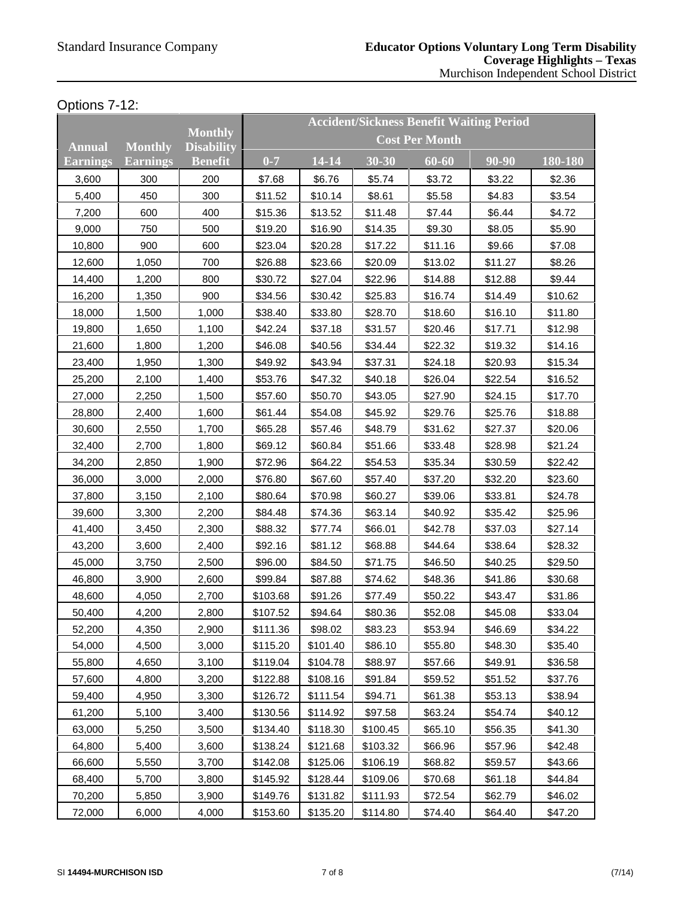# Options 7-12:

|               |                 |                                     |                       |          |           | <b>Accident/Sickness Benefit Waiting Period</b> |         |         |
|---------------|-----------------|-------------------------------------|-----------------------|----------|-----------|-------------------------------------------------|---------|---------|
| <b>Annual</b> | <b>Monthly</b>  | <b>Monthly</b><br><b>Disability</b> | <b>Cost Per Month</b> |          |           |                                                 |         |         |
| Earnings      | <b>Earnings</b> | <b>Benefit</b>                      | $0 - 7$               | 14-14    | $30 - 30$ | 60-60                                           | 90-90   | 180-180 |
| 3,600         | 300             | 200                                 | \$7.68                | \$6.76   | \$5.74    | \$3.72                                          | \$3.22  | \$2.36  |
| 5,400         | 450             | 300                                 | \$11.52               | \$10.14  | \$8.61    | \$5.58                                          | \$4.83  | \$3.54  |
| 7,200         | 600             | 400                                 | \$15.36               | \$13.52  | \$11.48   | \$7.44                                          | \$6.44  | \$4.72  |
| 9,000         | 750             | 500                                 | \$19.20               | \$16.90  | \$14.35   | \$9.30                                          | \$8.05  | \$5.90  |
| 10,800        | 900             | 600                                 | \$23.04               | \$20.28  | \$17.22   | \$11.16                                         | \$9.66  | \$7.08  |
| 12,600        | 1,050           | 700                                 | \$26.88               | \$23.66  | \$20.09   | \$13.02                                         | \$11.27 | \$8.26  |
| 14,400        | 1,200           | 800                                 | \$30.72               | \$27.04  | \$22.96   | \$14.88                                         | \$12.88 | \$9.44  |
| 16,200        | 1,350           | 900                                 | \$34.56               | \$30.42  | \$25.83   | \$16.74                                         | \$14.49 | \$10.62 |
| 18,000        | 1,500           | 1,000                               | \$38.40               | \$33.80  | \$28.70   | \$18.60                                         | \$16.10 | \$11.80 |
| 19,800        | 1,650           | 1,100                               | \$42.24               | \$37.18  | \$31.57   | \$20.46                                         | \$17.71 | \$12.98 |
| 21,600        | 1,800           | 1,200                               | \$46.08               | \$40.56  | \$34.44   | \$22.32                                         | \$19.32 | \$14.16 |
| 23,400        | 1,950           | 1,300                               | \$49.92               | \$43.94  | \$37.31   | \$24.18                                         | \$20.93 | \$15.34 |
| 25,200        | 2,100           | 1,400                               | \$53.76               | \$47.32  | \$40.18   | \$26.04                                         | \$22.54 | \$16.52 |
| 27,000        | 2,250           | 1,500                               | \$57.60               | \$50.70  | \$43.05   | \$27.90                                         | \$24.15 | \$17.70 |
| 28,800        | 2,400           | 1,600                               | \$61.44               | \$54.08  | \$45.92   | \$29.76                                         | \$25.76 | \$18.88 |
| 30,600        | 2,550           | 1,700                               | \$65.28               | \$57.46  | \$48.79   | \$31.62                                         | \$27.37 | \$20.06 |
| 32,400        | 2,700           | 1,800                               | \$69.12               | \$60.84  | \$51.66   | \$33.48                                         | \$28.98 | \$21.24 |
| 34,200        | 2,850           | 1,900                               | \$72.96               | \$64.22  | \$54.53   | \$35.34                                         | \$30.59 | \$22.42 |
| 36,000        | 3,000           | 2,000                               | \$76.80               | \$67.60  | \$57.40   | \$37.20                                         | \$32.20 | \$23.60 |
| 37,800        | 3,150           | 2,100                               | \$80.64               | \$70.98  | \$60.27   | \$39.06                                         | \$33.81 | \$24.78 |
| 39,600        | 3,300           | 2,200                               | \$84.48               | \$74.36  | \$63.14   | \$40.92                                         | \$35.42 | \$25.96 |
| 41,400        | 3,450           | 2,300                               | \$88.32               | \$77.74  | \$66.01   | \$42.78                                         | \$37.03 | \$27.14 |
| 43,200        | 3,600           | 2,400                               | \$92.16               | \$81.12  | \$68.88   | \$44.64                                         | \$38.64 | \$28.32 |
| 45,000        | 3,750           | 2,500                               | \$96.00               | \$84.50  | \$71.75   | \$46.50                                         | \$40.25 | \$29.50 |
| 46,800        | 3,900           | 2,600                               | \$99.84               | \$87.88  | \$74.62   | \$48.36                                         | \$41.86 | \$30.68 |
| 48,600        | 4,050           | 2,700                               | \$103.68              | \$91.26  | \$77.49   | \$50.22                                         | \$43.47 | \$31.86 |
| 50,400        | 4,200           | 2,800                               | \$107.52              | \$94.64  | \$80.36   | \$52.08                                         | \$45.08 | \$33.04 |
| 52,200        | 4,350           | 2,900                               | \$111.36              | \$98.02  | \$83.23   | \$53.94                                         | \$46.69 | \$34.22 |
| 54,000        | 4,500           | 3,000                               | \$115.20              | \$101.40 | \$86.10   | \$55.80                                         | \$48.30 | \$35.40 |
| 55,800        | 4,650           | 3,100                               | \$119.04              | \$104.78 | \$88.97   | \$57.66                                         | \$49.91 | \$36.58 |
| 57,600        | 4,800           | 3,200                               | \$122.88              | \$108.16 | \$91.84   | \$59.52                                         | \$51.52 | \$37.76 |
| 59,400        | 4,950           | 3,300                               | \$126.72              | \$111.54 | \$94.71   | \$61.38                                         | \$53.13 | \$38.94 |
| 61,200        | 5,100           | 3,400                               | \$130.56              | \$114.92 | \$97.58   | \$63.24                                         | \$54.74 | \$40.12 |
| 63,000        | 5,250           | 3,500                               | \$134.40              | \$118.30 | \$100.45  | \$65.10                                         | \$56.35 | \$41.30 |
| 64,800        | 5,400           | 3,600                               | \$138.24              | \$121.68 | \$103.32  | \$66.96                                         | \$57.96 | \$42.48 |
| 66,600        | 5,550           | 3,700                               | \$142.08              | \$125.06 | \$106.19  | \$68.82                                         | \$59.57 | \$43.66 |
| 68,400        | 5,700           | 3,800                               | \$145.92              | \$128.44 | \$109.06  | \$70.68                                         | \$61.18 | \$44.84 |
| 70,200        | 5,850           | 3,900                               | \$149.76              | \$131.82 | \$111.93  | \$72.54                                         | \$62.79 | \$46.02 |
| 72,000        | 6,000           | 4,000                               | \$153.60              | \$135.20 | \$114.80  | \$74.40                                         | \$64.40 | \$47.20 |